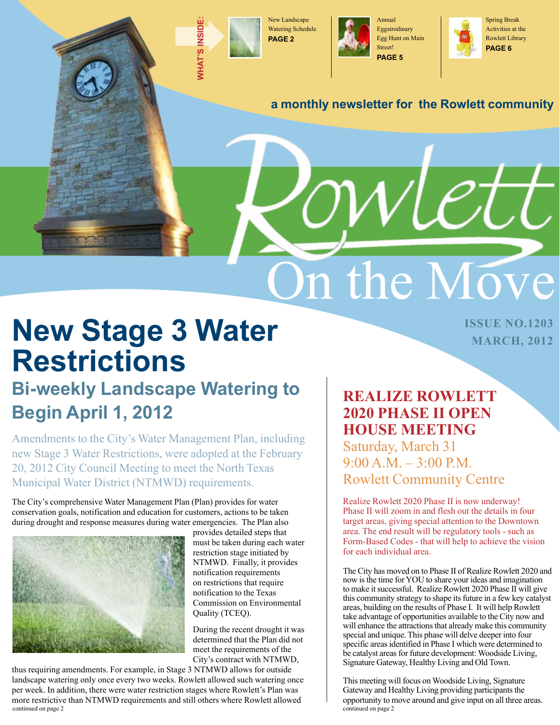

**what'**

**s insid**

**e:**

New Landscape Watering Schedule **PAGE 2**



Annual Eggstrodinary Egg Hunt on Main Street! **PAGE 5**



#### **a monthly newsletter for the Rowlett community**

**New Stage 3 Water <b>CENSUB AND AND ADDRESS ON A DISSUE NO.1203 Restrictions**

### **Bi-weekly Landscape Watering to Begin April 1, 2012**

Amendments to the City's Water Management Plan, including new Stage 3 Water Restrictions, were adopted at the February 20, 2012 City Council Meeting to meet the North Texas Municipal Water District (NTMWD) requirements.

The City's comprehensive Water Management Plan (Plan) provides for water conservation goals, notification and education for customers, actions to be taken during drought and response measures during water emergencies. The Plan also



provides detailed steps that must be taken during each water restriction stage initiated by NTMWD. Finally, it provides notification requirements on restrictions that require notification to the Texas Commission on Environmental Quality (TCEQ).

During the recent drought it was determined that the Plan did not meet the requirements of the City's contract with NTMWD,

thus requiring amendments. For example, in Stage 3 NTMWD allows for outside landscape watering only once every two weeks. Rowlett allowed such watering once per week. In addition, there were water restriction stages where Rowlett's Plan was more restrictive than NTMWD requirements and still others where Rowlett allowed continued on page 2

#### **Realize rowlett 2020 phase ii open house meeting** Saturday, March 31

On the Move

 $9:00 A.M. - 3:00 P.M.$ Rowlett Community Centre

Realize Rowlett 2020 Phase II is now underway! Phase II will zoom in and flesh out the details in four target areas, giving special attention to the Downtown area. The end result will be regulatory tools - such as Form-Based Codes - that will help to achieve the vision for each individual area.

The City has moved on to Phase II of Realize Rowlett 2020 and now is the time for YOU to share your ideas and imagination to make it successful. Realize Rowlett 2020 Phase II will give this community strategy to shape its future in a few key catalyst areas, building on the results of Phase I. It will help Rowlett take advantage of opportunities available to the City now and will enhance the attractions that already make this community special and unique. This phase will delve deeper into four specific areas identified in Phase I which were determined to be catalyst areas for future development: Woodside Living, Signature Gateway, Healthy Living and Old Town.

This meeting will focus on Woodside Living, Signature Gateway and Healthy Living providing participants the opportunity to move around and give input on all three areas. continued on page 2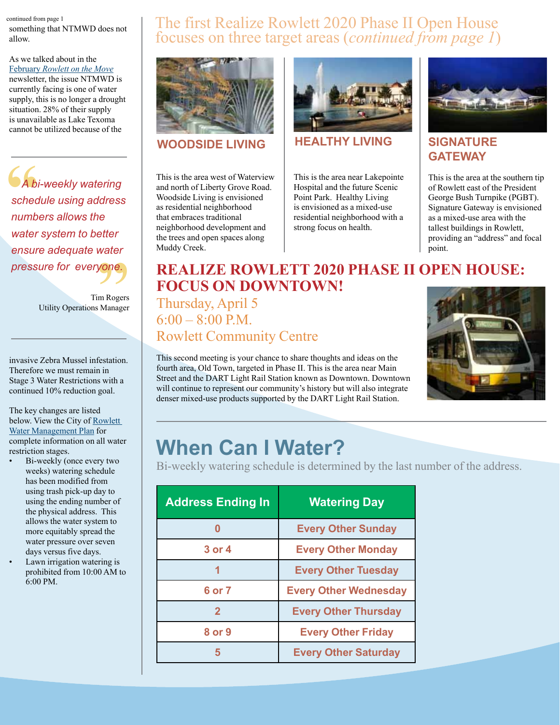#### continued from page 1 something that NTMWD does not allow.

As we talked about in the February *[Rowlett on the Move](http://www.rowlett.com/DocumentView.aspx?DID=4114)* newsletter, the issue NTMWD is currently facing is one of water supply, this is no longer a drought situation. 28% of their supply is unavailable as Lake Texoma cannot be utilized because of the

**SA**<br>
sched<br>
numb **yone.**<br>im Rogers<br>B Manager  *A bi-weekly watering schedule using address numbers allows the water system to better ensure adequate water pressure for everyone.*

Tim Rogers Utility Operations Manager

invasive Zebra Mussel infestation. Therefore we must remain in Stage 3 Water Restrictions with a continued 10% reduction goal.

The key changes are listed below. View the City of [Rowlett](http://www.rowlett.com/DocumentView.aspx?DID=4137)  [Water Management Plan](http://www.rowlett.com/DocumentView.aspx?DID=4137) for complete information on all water restriction stages.

- Bi-weekly (once every two weeks) watering schedule has been modified from using trash pick-up day to using the ending number of the physical address. This allows the water system to more equitably spread the water pressure over seven days versus five days.
- Lawn irrigation watering is prohibited from 10:00 AM to 6:00 PM.

#### The first Realize Rowlett 2020 Phase II Open House focuses on three target areas (*continued from page 1*)



This is the area west of Waterview and north of Liberty Grove Road. Woodside Living is envisioned as residential neighborhood that embraces traditional neighborhood development and the trees and open spaces along Muddy Creek.



#### **WOODSIDE LIVING HEALTHY LIVING**

This is the area near Lakepointe Hospital and the future Scenic Point Park. Healthy Living is envisioned as a mixed-use residential neighborhood with a strong focus on health.



#### **SIGNATURE GATEWAY**

This is the area at the southern tip of Rowlett east of the President George Bush Turnpike (PGBT). Signature Gateway is envisioned as a mixed-use area with the tallest buildings in Rowlett, providing an "address" and focal point.

#### **Realize rowlett 2020 phase ii open house: Focus on Downtown!**

Thursday, April 5  $6:00 - 8:00$  P.M. Rowlett Community Centre

This second meeting is your chance to share thoughts and ideas on the fourth area, Old Town, targeted in Phase II. This is the area near Main Street and the DART Light Rail Station known as Downtown. Downtown will continue to represent our community's history but will also integrate denser mixed-use products supported by the DART Light Rail Station.



### **When Can I Water?**

Bi-weekly watering schedule is determined by the last number of the address.

| <b>Address Ending In</b> | <b>Watering Day</b>          |  |  |
|--------------------------|------------------------------|--|--|
|                          | <b>Every Other Sunday</b>    |  |  |
| 3 or 4                   | <b>Every Other Monday</b>    |  |  |
|                          | <b>Every Other Tuesday</b>   |  |  |
| 6 or 7                   | <b>Every Other Wednesday</b> |  |  |
| $\mathbf 2$              | <b>Every Other Thursday</b>  |  |  |
| 8 or 9                   | <b>Every Other Friday</b>    |  |  |
| 5                        | <b>Every Other Saturday</b>  |  |  |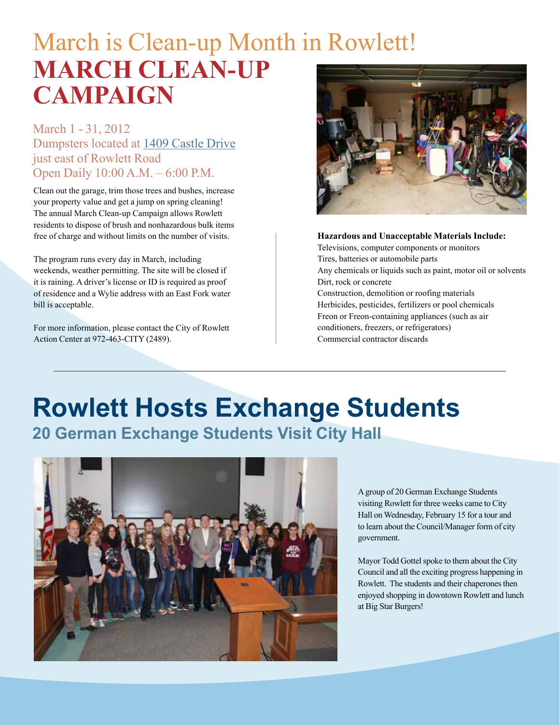## March is Clean-up Month in Rowlett! **MARCH CLEAN-UP Campaign**

March 1 - 31, 2012 Dumpsters located at [1409 Castle Drive](http://www.ci.rowlett.tx.us/index.aspx?NID=938&ART=2399&admin=1) just east of Rowlett Road Open Daily 10:00 A.M. – 6:00 P.M.

Clean out the garage, trim those trees and bushes, increase your property value and get a jump on spring cleaning! The annual March Clean-up Campaign allows Rowlett residents to dispose of brush and nonhazardous bulk items free of charge and without limits on the number of visits.

The program runs every day in March, including weekends, weather permitting. The site will be closed if it is raining. A driver's license or ID is required as proof of residence and a Wylie address with an East Fork water bill is acceptable.

For more information, please contact the City of Rowlett Action Center at 972-463-CITY (2489).



**Hazardous and Unacceptable Materials Include:**

Televisions, computer components or monitors Tires, batteries or automobile parts Any chemicals or liquids such as paint, motor oil or solvents Dirt, rock or concrete Construction, demolition or roofing materials Herbicides, pesticides, fertilizers or pool chemicals Freon or Freon-containing appliances (such as air conditioners, freezers, or refrigerators) Commercial contractor discards

# **Rowlett Hosts Exchange Students**

**20 German Exchange Students Visit City Hall** 



A group of 20 German Exchange Students visiting Rowlett for three weeks came to City Hall on Wednesday, February 15 for a tour and to learn about the Council/Manager form of city government.

Mayor Todd Gottel spoke to them about the City Council and all the exciting progress happening in Rowlett. The students and their chaperones then enjoyed shopping in downtown Rowlett and lunch at Big Star Burgers!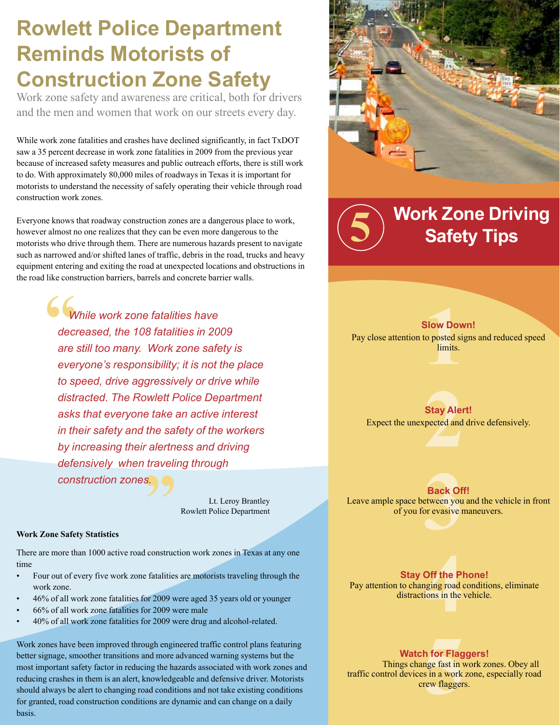### **Rowlett Police Department Reminds Motorists of Construction Zone Safety**

Work zone safety and awareness are critical, both for drivers and the men and women that work on our streets every day.

While work zone fatalities and crashes have declined significantly, in fact TxDOT saw a 35 percent decrease in work zone fatalities in 2009 from the previous year because of increased safety measures and public outreach efforts, there is still work to do. With approximately 80,000 miles of roadways in Texas it is important for motorists to understand the necessity of safely operating their vehicle through road construction work zones.

Everyone knows that roadway construction zones are a dangerous place to work, however almost no one realizes that they can be even more dangerous to the motorists who drive through them. There are numerous hazards present to navigate such as narrowed and/or shifted lanes of traffic, debris in the road, trucks and heavy equipment entering and exiting the road at unexpected locations and obstructions in the road like construction barriers, barrels and concrete barrier walls.

**6**<br>
deci<br>
are <sup>S.</sup>  *While work zone fatalities have decreased, the 108 fatalities in 2009 are still too many. Work zone safety is everyone's responsibility; it is not the place to speed, drive aggressively or drive while distracted. The Rowlett Police Department asks that everyone take an active interest in their safety and the safety of the workers by increasing their alertness and driving defensively when traveling through* 

Lt. Leroy Brantley Rowlett Police Department

#### **Work Zone Safety Statistics**

There are more than 1000 active road construction work zones in Texas at any one time

- Four out of every five work zone fatalities are motorists traveling through the work zone.
- 46% of all work zone fatalities for 2009 were aged 35 years old or younger
- 66% of all work zone fatalities for 2009 were male

*construction zones.*

40% of all work zone fatalities for 2009 were drug and alcohol-related.

Work zones have been improved through engineered traffic control plans featuring better signage, smoother transitions and more advanced warning systems but the most important safety factor in reducing the hazards associated with work zones and reducing crashes in them is an alert, knowledgeable and defensive driver. Motorists should always be alert to changing road conditions and not take existing conditions for granted, road construction conditions are dynamic and can change on a daily basis.



**5 Work Zone Driving Safety Tips**

**1 Slow Down!** Pay close attention to posted signs and reduced speed **limits** 

**2**<br>**2**<br>**2**<br>**2**<br>**2**<br>**2**<br>**2 Stay Alert!** Expect the unexpected and drive defensively.

**3 Back Off!** Leave ample space between you and the vehicle in front of you for evasive maneuvers.

**4 Stay Off the Phone!** Pay attention to changing road conditions, eliminate distractions in the vehicle.

**Watch for Flaggers!** 

**h for Flag**<br>nge fast in v<br>s in a work<br>rew flagger: Things change fast in work zones. Obey all traffic control devices in a work zone, especially road crew flaggers.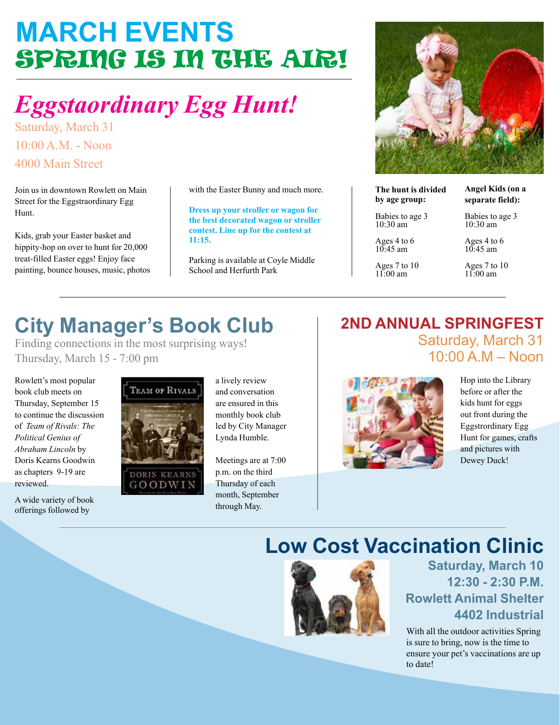## **March events** Spring is in the air!

## *Eggstaordinary Egg Hunt!*

Saturday, March 31 10:00 A.M. - Noon 4000 Main Street

Join us in downtown Rowlett on Main Street for the Eggstraordinary Egg Hunt.

Kids, grab your Easter basket and hippity-hop on over to hunt for 20,000 treat-filled Easter eggs! Enjoy face painting, bounce houses, music, photos with the Easter Bunny and much more.

**Dress up your stroller or wagon for the best decorated wagon or stroller contest. Line up for the contest at 11:15.**

Parking is available at Coyle Middle School and Herfurth Park



**The hunt is divided by age group:**

**Angel Kids (on a separate field):**

Babies to age 3 10:30 am

Ages 4 to 6  $10:45$  am Ages 7 to 10 11:00 am

Babies to age 3 10:30 am

Ages 4 to 6  $10:45$  am

Ages 7 to 10  $11:00$  am

## **City Manager's Book Club**

Finding connections in the most surprising ways! Thursday, March 15 - 7:00 pm

Rowlett's most popular book club meets on Thursday, September 15 to continue the discussion of *Team of Rivals: The Political Genius of Abraham Lincoln* by Doris Kearns Goodwin as chapters 9-19 are reviewed.

A wide variety of book offerings followed by



a lively review and conversation are ensured in this monthly book club led by City Manager Lynda Humble.

Meetings are at 7:00 p.m. on the third Thursday of each month, September through May.

#### **2nd Annual SpringFest**  Saturday, March 31 10:00 A.M – Noon



Hop into the Library before or after the kids hunt for eggs out front during the Eggstrordinary Egg Hunt for games, crafts and pictures with Dewey Duck!

### **Low Cost Vaccination Clinic**



**Saturday, March 10 12:30 - 2:30 P.M. Rowlett Animal Shelter 4402 Industrial**

With all the outdoor activities Spring is sure to bring, now is the time to ensure your pet's vaccinations are up to date!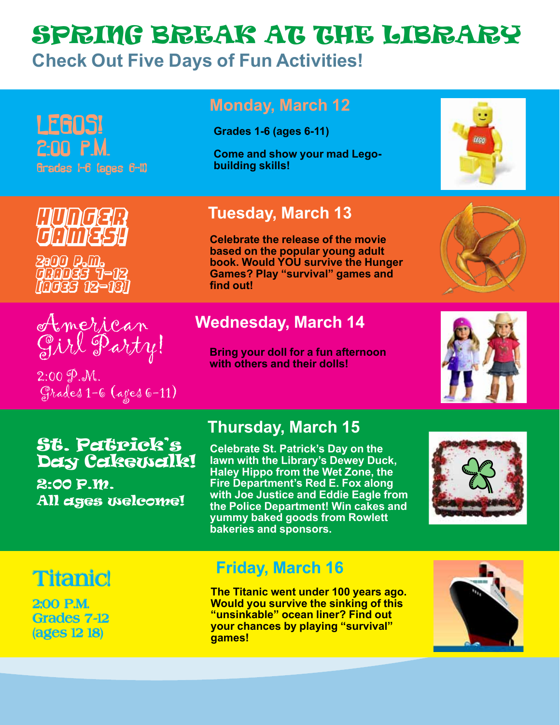### Spring break at the library **Check Out Five Days of Fun Activities!**

| LEGOS!<br>$2:00$ $P.M.$<br>Grades I-6 (ages 6-11)            | <b>Monday, March 12</b><br><b>Grades 1-6 (ages 6-11)</b><br><b>Come and show your mad Lego-</b><br>building skills!                                                                                     | <b>IEGO</b> |
|--------------------------------------------------------------|---------------------------------------------------------------------------------------------------------------------------------------------------------------------------------------------------------|-------------|
| MUNGER<br>GAMESH<br>2800 P.M.<br>000039 7-12<br>[0039 12-18] | <b>Tuesday, March 13</b><br><b>Celebrate the release of the movie</b><br>based on the popular young adult<br>book. Would YOU survive the Hunger<br><b>Games? Play "survival" games and</b><br>find out! |             |
| American                                                     | <b>Wednesday, March 14</b><br><b>Bring your doll for a fun afternoon</b>                                                                                                                                |             |

#### **Bring your doll for a fun afternoon with others and their dolls!**



#### St. Patrick's Day Cakewalk!

Grades 1-6 (ages 6-11)

2:00 P.M. All ages welcome!

### **Thursday, March 15**

**Celebrate St. Patrick's Day on the lawn with the Library's Dewey Duck, Haley Hippo from the Wet Zone, the Fire Department's Red E. Fox along with Joe Justice and Eddie Eagle from the Police Department! Win cakes and yummy baked goods from Rowlett bakeries and sponsors.**



### **Titanic!**

 $2:00 \n9. M.$ 

2:00 P.M. Grades 7-12 (ages 12 18)

#### **Friday, March 16**

**The Titanic went under 100 years ago. Would you survive the sinking of this "unsinkable" ocean liner? Find out your chances by playing "survival" games!**

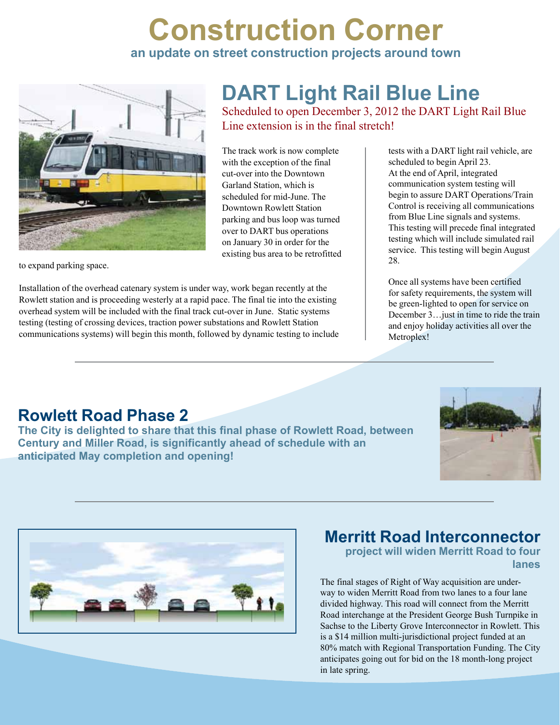### **Construction Corner an update on street construction projects around town**



to expand parking space.

Installation of the overhead catenary system is under way, work began recently at the Rowlett station and is proceeding westerly at a rapid pace. The final tie into the existing overhead system will be included with the final track cut-over in June. Static systems testing (testing of crossing devices, traction power substations and Rowlett Station communications systems) will begin this month, followed by dynamic testing to include

## **DART Light Rail Blue Line**

Scheduled to open December 3, 2012 the DART Light Rail Blue Line extension is in the final stretch!

The track work is now complete with the exception of the final cut-over into the Downtown Garland Station, which is scheduled for mid-June. The Downtown Rowlett Station parking and bus loop was turned over to DART bus operations on January 30 in order for the existing bus area to be retrofitted tests with a DART light rail vehicle, are scheduled to begin April 23. At the end of April, integrated communication system testing will begin to assure DART Operations/Train Control is receiving all communications from Blue Line signals and systems. This testing will precede final integrated testing which will include simulated rail service. This testing will begin August 28.

Once all systems have been certified for safety requirements, the system will be green-lighted to open for service on December 3…just in time to ride the train and enjoy holiday activities all over the Metroplex!

#### **Rowlett Road Phase 2**

**The City is delighted to share that this final phase of Rowlett Road, between Century and Miller Road, is significantly ahead of schedule with an anticipated May completion and opening!**





### **Merritt Road Interconnector**

**project will widen Merritt Road to four lanes**

The final stages of Right of Way acquisition are underway to widen Merritt Road from two lanes to a four lane divided highway. This road will connect from the Merritt Road interchange at the President George Bush Turnpike in Sachse to the Liberty Grove Interconnector in Rowlett. This is a \$14 million multi-jurisdictional project funded at an 80% match with Regional Transportation Funding. The City anticipates going out for bid on the 18 month-long project in late spring.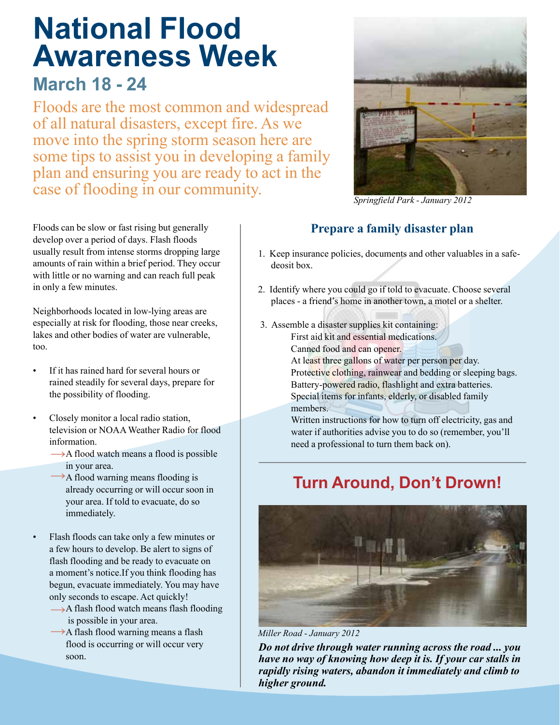## **National Flood Awareness Week**

### **March 18 - 24**

Floods are the most common and widespread of all natural disasters, except fire. As we move into the spring storm season here are some tips to assist you in developing a family plan and ensuring you are ready to act in the case of flooding in our community.



*Springfield Park - January 2012*

#### **Prepare a family disaster plan**

- 1. Keep insurance policies, documents and other valuables in a safe deosit box.
- 2. Identify where you could go if told to evacuate. Choose several places - a friend's home in another town, a motel or a shelter.
- 3. Assemble a disaster supplies kit containing: First aid kit and essential medications.

Canned food and can opener.

At least three gallons of water per person per day. Protective clothing, rainwear and bedding or sleeping bags. Battery-powered radio, flashlight and extra batteries. Special items for infants, elderly, or disabled family members.

Written instructions for how to turn off electricity, gas and water if authorities advise you to do so (remember, you'll need a professional to turn them back on).

### **Turn Around, Don't Drown!**



*Miller Road - January 2012*

*Do not drive through water running across the road ... you have no way of knowing how deep it is. If your car stalls in rapidly rising waters, abandon it immediately and climb to higher ground.*

Floods can be slow or fast rising but generally develop over a period of days. Flash floods usually result from intense storms dropping large amounts of rain within a brief period. They occur with little or no warning and can reach full peak in only a few minutes.

Neighborhoods located in low-lying areas are especially at risk for flooding, those near creeks, lakes and other bodies of water are vulnerable, too.

- If it has rained hard for several hours or rained steadily for several days, prepare for the possibility of flooding.
- Closely monitor a local radio station, television or NOAA Weather Radio for flood information.
	- → A flood watch means a flood is possible in your area.
	- →A flood warning means flooding is already occurring or will occur soon in your area. If told to evacuate, do so immediately.
	- Flash floods can take only a few minutes or a few hours to develop. Be alert to signs of flash flooding and be ready to evacuate on a moment's notice.If you think flooding has begun, evacuate immediately. You may have only seconds to escape. Act quickly!
	- →A flash flood watch means flash flooding is possible in your area.
	- →A flash flood warning means a flash flood is occurring or will occur very soon.